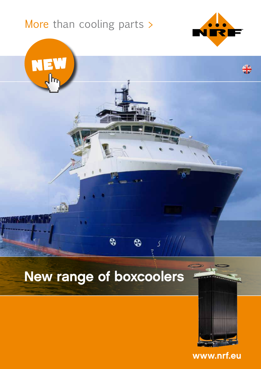# More than cooling parts >

NEW

**TEALARE ET** 



╬



 $\overline{\mathbf{e}}$ 

 $\bullet$ 



 $5/111$ 

www.nrf.eu